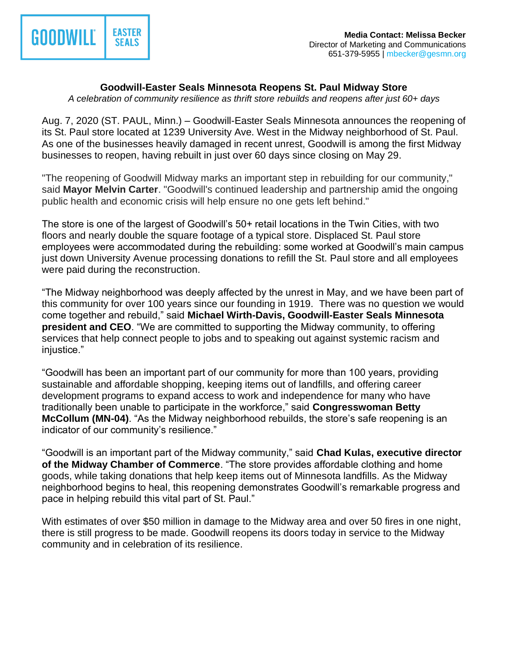

## **Goodwill-Easter Seals Minnesota Reopens St. Paul Midway Store**

*A celebration of community resilience as thrift store rebuilds and reopens after just 60+ days*

Aug. 7, 2020 (ST. PAUL, Minn.) – Goodwill-Easter Seals Minnesota announces the reopening of its St. Paul store located at 1239 University Ave. West in the Midway neighborhood of St. Paul. As one of the businesses heavily damaged in recent unrest, Goodwill is among the first Midway businesses to reopen, having rebuilt in just over 60 days since closing on May 29.

"The reopening of Goodwill Midway marks an important step in rebuilding for our community," said **Mayor Melvin Carter**. "Goodwill's continued leadership and partnership amid the ongoing public health and economic crisis will help ensure no one gets left behind."

The store is one of the largest of Goodwill's 50+ retail locations in the Twin Cities, with two floors and nearly double the square footage of a typical store. Displaced St. Paul store employees were accommodated during the rebuilding: some worked at Goodwill's main campus just down University Avenue processing donations to refill the St. Paul store and all employees were paid during the reconstruction.

"The Midway neighborhood was deeply affected by the unrest in May, and we have been part of this community for over 100 years since our founding in 1919. There was no question we would come together and rebuild," said **Michael Wirth-Davis, Goodwill-Easter Seals Minnesota president and CEO**. "We are committed to supporting the Midway community, to offering services that help connect people to jobs and to speaking out against systemic racism and injustice."

"Goodwill has been an important part of our community for more than 100 years, providing sustainable and affordable shopping, keeping items out of landfills, and offering career development programs to expand access to work and independence for many who have traditionally been unable to participate in the workforce," said **Congresswoman Betty McCollum (MN-04)**. "As the Midway neighborhood rebuilds, the store's safe reopening is an indicator of our community's resilience."

"Goodwill is an important part of the Midway community," said **Chad Kulas, executive director of the Midway Chamber of Commerce**. "The store provides affordable clothing and home goods, while taking donations that help keep items out of Minnesota landfills. As the Midway neighborhood begins to heal, this reopening demonstrates Goodwill's remarkable progress and pace in helping rebuild this vital part of St. Paul."

With estimates of over \$50 million in damage to the Midway area and over 50 fires in one night, there is still progress to be made. Goodwill reopens its doors today in service to the Midway community and in celebration of its resilience.